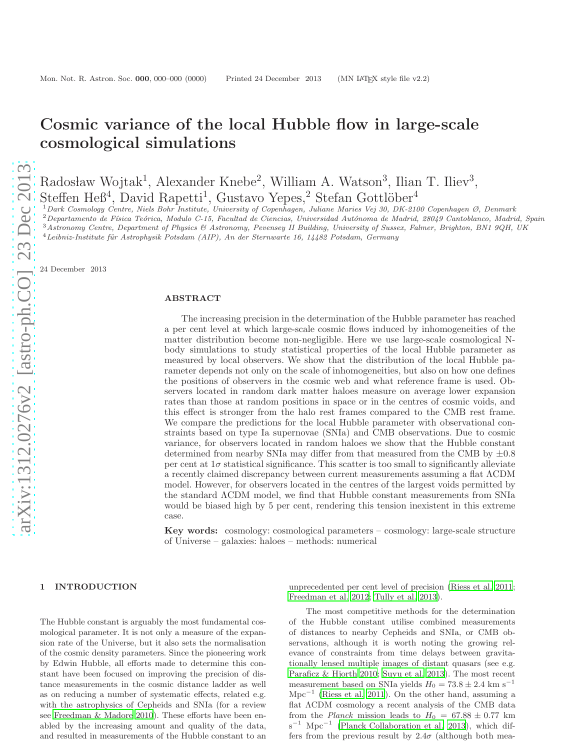# Cosmic variance of the local Hubble flow in large-scale cosmological simulations

Radosław Wojtak<sup>1</sup>, Alexander Knebe<sup>2</sup>, William A. Watson<sup>3</sup>, Ilian T. Iliev<sup>3</sup>,  $Steffen Heß<sup>4</sup>, David Rapetti<sup>1</sup>, Gustavo Yepes<sup>2</sup>, Stefan Gottlöber<sup>4</sup>$ 

 $1$ Dark Cosmology Centre, Niels Bohr Institute, University of Copenhagen, Juliane Maries Vej 30, DK-2100 Copenhagen Ø, Denmark  $2$ Departamento de Física Teórica, Modulo C-15, Facultad de Ciencias, Universidad Autónoma de Madrid, 28049 Cantoblanco, Madrid, Spain

<sup>3</sup>Astronomy Centre, Department of Physics & Astronomy, Pevensey II Building, University of Sussex, Falmer, Brighton, BN1 9QH, UK

 $4 Leibniz-Institute für Astrophysik Potsdam (AIP), An der Sternwarte 16, 14482 Potsdam, Germany$ 

24 December 2013

## ABSTRACT

The increasing precision in the determination of the Hubble parameter has reached a per cent level at which large-scale cosmic flows induced by inhomogeneities of the matter distribution become non-negligible. Here we use large-scale cosmological Nbody simulations to study statistical properties of the local Hubble parameter as measured by local observers. We show that the distribution of the local Hubble parameter depends not only on the scale of inhomogeneities, but also on how one defines the positions of observers in the cosmic web and what reference frame is used. Observers located in random dark matter haloes measure on average lower expansion rates than those at random positions in space or in the centres of cosmic voids, and this effect is stronger from the halo rest frames compared to the CMB rest frame. We compare the predictions for the local Hubble parameter with observational constraints based on type Ia supernovae (SNIa) and CMB observations. Due to cosmic variance, for observers located in random haloes we show that the Hubble constant determined from nearby SNIa may differ from that measured from the CMB by  $\pm 0.8$ per cent at  $1\sigma$  statistical significance. This scatter is too small to significantly alleviate a recently claimed discrepancy between current measurements assuming a flat ΛCDM model. However, for observers located in the centres of the largest voids permitted by the standard ΛCDM model, we find that Hubble constant measurements from SNIa would be biased high by 5 per cent, rendering this tension inexistent in this extreme case.

Key words: cosmology: cosmological parameters – cosmology: large-scale structure of Universe – galaxies: haloes – methods: numerical

#### 1 INTRODUCTION

The Hubble constant is arguably the most fundamental cosmological parameter. It is not only a measure of the expansion rate of the Universe, but it also sets the normalisation of the cosmic density parameters. Since the pioneering work by Edwin Hubble, all efforts made to determine this constant have been focused on improving the precision of distance measurements in the cosmic distance ladder as well as on reducing a number of systematic effects, related e.g. with the astrophysics of Cepheids and SNIa (for a review see [Freedman & Madore 2010\)](#page-8-0). These efforts have been enabled by the increasing amount and quality of the data, and resulted in measurements of the Hubble constant to an

unprecedented per cent level of precision [\(Riess et al. 2011](#page-8-1); [Freedman et al. 2012;](#page-8-2) [Tully et al. 2013](#page-8-3)).

The most competitive methods for the determination of the Hubble constant utilise combined measurements of distances to nearby Cepheids and SNIa, or CMB observations, although it is worth noting the growing relevance of constraints from time delays between gravitationally lensed multiple images of distant quasars (see e.g. [Paraficz & Hjorth 2010](#page-8-4); [Suyu et al. 2013](#page-8-5)). The most recent measurement based on SNIa yields  $H_0 = 73.8 \pm 2.4$  km s<sup>−1</sup> Mpc<sup>−</sup><sup>1</sup> [\(Riess et al. 2011](#page-8-1)). On the other hand, assuming a flat ΛCDM cosmology a recent analysis of the CMB data from the Planck mission leads to  $H_0 = 67.88 \pm 0.77$  km s<sup>-1</sup> Mpc<sup>-1</sup> [\(Planck Collaboration et al. 2013\)](#page-8-6), which differs from the previous result by  $2.4\sigma$  (although both mea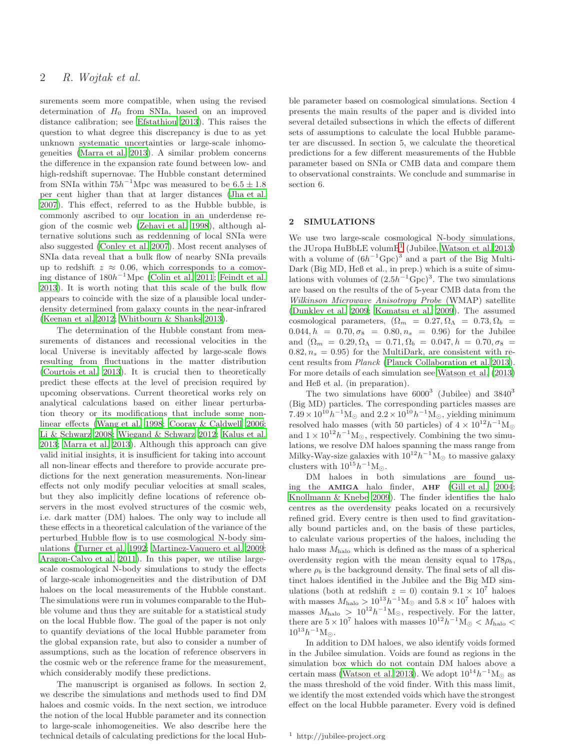surements seem more compatible, when using the revised determination of  $H_0$  from SNIa, based on an improved distance calibration; see [Efstathiou 2013](#page-8-7)). This raises the question to what degree this discrepancy is due to as yet unknown systematic uncertainties or large-scale inhomogeneities [\(Marra et al. 2013\)](#page-8-8). A similar problem concerns the difference in the expansion rate found between low- and high-redshift supernovae. The Hubble constant determined from SNIa within  $75h^{-1}\text{Mpc}$  was measured to be  $6.5 \pm 1.8$ per cent higher than that at larger distances [\(Jha et al.](#page-8-9) [2007](#page-8-9)). This effect, referred to as the Hubble bubble, is commonly ascribed to our location in an underdense region of the cosmic web [\(Zehavi et al. 1998](#page-8-10)), although alternative solutions such as reddenning of local SNIa were also suggested [\(Conley et al. 2007](#page-8-11)). Most recent analyses of SNIa data reveal that a bulk flow of nearby SNIa prevails up to redshift  $z \approx 0.06$ , which corresponds to a comoving distance of  $180h^{-1}\text{Mpc}$  [\(Colin et al. 2011;](#page-8-12) [Feindt et al.](#page-8-13) [2013](#page-8-13)). It is worth noting that this scale of the bulk flow appears to coincide with the size of a plausible local underdensity determined from galaxy counts in the near-infrared [\(Keenan et al. 2012;](#page-8-14) [Whitbourn & Shanks 2013](#page-8-15)).

The determination of the Hubble constant from measurements of distances and recessional velocities in the local Universe is inevitably affected by large-scale flows resulting from fluctuations in the matter distribution [\(Courtois et al. 2013](#page-8-16)). It is crucial then to theoretically predict these effects at the level of precision required by upcoming observations. Current theoretical works rely on analytical calculations based on either linear perturbation theory or its modifications that include some nonlinear effects [\(Wang et al. 1998;](#page-8-17) [Cooray & Caldwell 2006;](#page-8-18) [Li & Schwarz 2008](#page-8-19); [Wiegand & Schwarz 2012](#page-8-20); [Kalus et al.](#page-8-21) [2013](#page-8-21); [Marra et al. 2013](#page-8-8)). Although this approach can give valid initial insights, it is insufficient for taking into account all non-linear effects and therefore to provide accurate predictions for the next generation measurements. Non-linear effects not only modify peculiar velocities at small scales, but they also implicitly define locations of reference observers in the most evolved structures of the cosmic web, i.e. dark matter (DM) haloes. The only way to include all these effects in a theoretical calculation of the variance of the perturbed Hubble flow is to use cosmological N-body simulations [\(Turner et al. 1992](#page-8-22); [Martinez-Vaquero et al. 2009;](#page-8-23) [Aragon-Calvo et al. 2011\)](#page-8-24). In this paper, we utilise largescale cosmological N-body simulations to study the effects of large-scale inhomogeneities and the distribution of DM haloes on the local measurements of the Hubble constant. The simulations were run in volumes comparable to the Hubble volume and thus they are suitable for a statistical study on the local Hubble flow. The goal of the paper is not only to quantify deviations of the local Hubble parameter from the global expansion rate, but also to consider a number of assumptions, such as the location of reference observers in the cosmic web or the reference frame for the measurement, which considerably modify these predictions.

The manuscript is organised as follows. In section 2, we describe the simulations and methods used to find DM haloes and cosmic voids. In the next section, we introduce the notion of the local Hubble parameter and its connection to large-scale inhomogeneities. We also describe here the technical details of calculating predictions for the local Hubble parameter based on cosmological simulations. Section 4 presents the main results of the paper and is divided into several detailed subsections in which the effects of different sets of assumptions to calculate the local Hubble parameter are discussed. In section 5, we calculate the theoretical predictions for a few different measurements of the Hubble parameter based on SNIa or CMB data and compare them to observational constraints. We conclude and summarise in section 6.

## 2 SIMULATIONS

We use two large-scale cosmological N-body simulations, the JUropa HuBbLE volum $E^1$  $E^1$  (Jubilee, [Watson et al. 2013](#page-8-25)) with a volume of  $(6h^{-1}\text{Gpc})^3$  and a part of the Big Multi-Dark (Big MD, Heß et al., in prep.) which is a suite of simulations with volumes of  $(2.5h^{-1}\text{Gpc})^3$ . The two simulations are based on the results of the of 5-year CMB data from the Wilkinson Microwave Anisotropy Probe (WMAP) satellite [\(Dunkley et al. 2009;](#page-8-26) [Komatsu et al. 2009](#page-8-27)). The assumed cosmological parameters,  $(\Omega_m = 0.27, \Omega_\Lambda = 0.73, \Omega_b =$  $0.044, h = 0.70, \sigma_8 = 0.80, n_s = 0.96$  for the Jubilee and  $(\Omega_m = 0.29, \Omega_\Lambda = 0.71, \Omega_b = 0.047, h = 0.70, \sigma_8 =$  $0.82, n_s = 0.95$  for the MultiDark, are consistent with recent results from Planck [\(Planck Collaboration et al. 2013](#page-8-6)). For more details of each simulation see [Watson et al. \(2013](#page-8-25)) and Heß et al. (in preparation).

The two simulations have  $6000^3$  (Jubilee) and  $3840^3$ (Big MD) particles. The corresponding particles masses are  $7.49 \times 10^{10} h^{-1}$ M<sub>☉</sub> and  $2.2 \times 10^{10} h^{-1}$ M<sub>☉</sub>, yielding minimum resolved halo masses (with 50 particles) of  $4 \times 10^{12} h^{-1}$ M<sub>o</sub> and  $1 \times 10^{12} h^{-1}$ M<sub>☉</sub>, respectively. Combining the two simulations, we resolve DM haloes spanning the mass range from Milky-Way-size galaxies with  $10^{12}h^{-1}M_{\odot}$  to massive galaxy clusters with  $10^{15}h^{-1}M_{\odot}$ .

DM haloes in both simulations are found using the AMIGA halo finder, AHF [\(Gill et al. 2004](#page-8-28); [Knollmann & Knebe 2009](#page-8-29)). The finder identifies the halo centres as the overdensity peaks located on a recursively refined grid. Every centre is then used to find gravitationally bound particles and, on the basis of these particles, to calculate various properties of the haloes, including the halo mass  $M_{\text{halo}}$  which is defined as the mass of a spherical overdensity region with the mean density equal to  $178\rho_b$ , where  $\rho_b$  is the background density. The final sets of all distinct haloes identified in the Jubilee and the Big MD simulations (both at redshift  $z = 0$ ) contain  $9.1 \times 10^7$  haloes with masses  $M_{\text{halo}} > 10^{13} h^{-1} M_{\odot}$  and  $5.8 \times 10^{7}$  haloes with masses  $M_{\text{halo}} > 10^{12} h^{-1} M_{\odot}$ , respectively. For the latter, there are  $5 \times 10^7$  haloes with masses  $10^{12} h^{-1} M_{\odot} < M_{\text{halo}} <$  $10^{13} h^{-1}$ M<sub>☉</sub>.

In addition to DM haloes, we also identify voids formed in the Jubilee simulation. Voids are found as regions in the simulation box which do not contain DM haloes above a certain mass [\(Watson et al. 2013](#page-8-25)). We adopt  $10^{14}h^{-1}M_{\odot}$  as the mass threshold of the void finder. With this mass limit, we identify the most extended voids which have the strongest effect on the local Hubble parameter. Every void is defined

<span id="page-1-0"></span><sup>1</sup> http://jubilee-project.org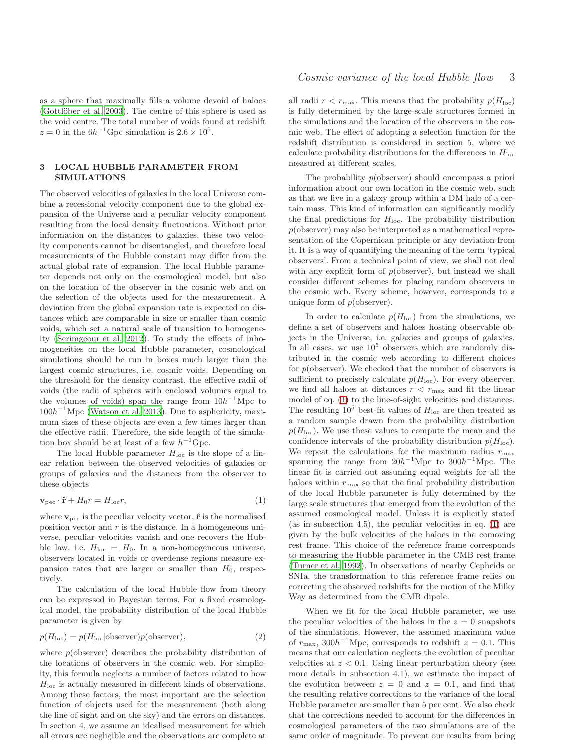as a sphere that maximally fills a volume devoid of haloes  $(Gottlöber et al. 2003)$ . The centre of this sphere is used as the void centre. The total number of voids found at redshift  $z = 0$  in the  $6h^{-1}$ Gpc simulation is  $2.6 \times 10^5$ .

## 3 LOCAL HUBBLE PARAMETER FROM SIMULATIONS

The observed velocities of galaxies in the local Universe combine a recessional velocity component due to the global expansion of the Universe and a peculiar velocity component resulting from the local density fluctuations. Without prior information on the distances to galaxies, these two velocity components cannot be disentangled, and therefore local measurements of the Hubble constant may differ from the actual global rate of expansion. The local Hubble parameter depends not only on the cosmological model, but also on the location of the observer in the cosmic web and on the selection of the objects used for the measurement. A deviation from the global expansion rate is expected on distances which are comparable in size or smaller than cosmic voids, which set a natural scale of transition to homogeneity [\(Scrimgeour et al. 2012\)](#page-8-31). To study the effects of inhomogeneities on the local Hubble parameter, cosmological simulations should be run in boxes much larger than the largest cosmic structures, i.e. cosmic voids. Depending on the threshold for the density contrast, the effective radii of voids (the radii of spheres with enclosed volumes equal to the volumes of voids) span the range from  $10h^{-1}$ Mpc to  $100h^{-1}\text{Mpc}$  [\(Watson et al. 2013\)](#page-8-25). Due to asphericity, maximum sizes of these objects are even a few times larger than the effective radii. Therefore, the side length of the simulation box should be at least of a few  $h^{-1}$ Gpc.

The local Hubble parameter  $H_{\text{loc}}$  is the slope of a linear relation between the observed velocities of galaxies or groups of galaxies and the distances from the observer to these objects

<span id="page-2-0"></span>
$$
\mathbf{v}_{\rm pec} \cdot \hat{\mathbf{r}} + H_0 r = H_{\rm loc} r,\tag{1}
$$

where  $v_{\text{pec}}$  is the peculiar velocity vector,  $\hat{\mathbf{r}}$  is the normalised position vector and  $r$  is the distance. In a homogeneous universe, peculiar velocities vanish and one recovers the Hubble law, i.e.  $H_{loc} = H_0$ . In a non-homogeneous universe, observers located in voids or overdense regions measure expansion rates that are larger or smaller than  $H_0$ , respectively.

The calculation of the local Hubble flow from theory can be expressed in Bayesian terms. For a fixed cosmological model, the probability distribution of the local Hubble parameter is given by

$$
p(H_{\text{loc}}) = p(H_{\text{loc}} | \text{observer}) p(\text{observer}), \tag{2}
$$

where  $p$ (observer) describes the probability distribution of the locations of observers in the cosmic web. For simplicity, this formula neglects a number of factors related to how  $H<sub>loc</sub>$  is actually measured in different kinds of observations. Among these factors, the most important are the selection function of objects used for the measurement (both along the line of sight and on the sky) and the errors on distances. In section 4, we assume an idealised measurement for which all errors are negligible and the observations are complete at

all radii  $r < r_{\text{max}}$ . This means that the probability  $p(H_{\text{loc}})$ is fully determined by the large-scale structures formed in the simulations and the location of the observers in the cosmic web. The effect of adopting a selection function for the redshift distribution is considered in section 5, where we calculate probability distributions for the differences in  $H_{\text{loc}}$ measured at different scales.

The probability  $p(\text{observer})$  should encompass a priori information about our own location in the cosmic web, such as that we live in a galaxy group within a DM halo of a certain mass. This kind of information can significantly modify the final predictions for  $H_{loc}$ . The probability distribution  $p(\text{observer})$  may also be interpreted as a mathematical representation of the Copernican principle or any deviation from it. It is a way of quantifying the meaning of the term 'typical observers'. From a technical point of view, we shall not deal with any explicit form of  $p(\text{observer})$ , but instead we shall consider different schemes for placing random observers in the cosmic web. Every scheme, however, corresponds to a unique form of  $p(\text{observer})$ .

In order to calculate  $p(H_{\text{loc}})$  from the simulations, we define a set of observers and haloes hosting observable objects in the Universe, i.e. galaxies and groups of galaxies. In all cases, we use  $10^5$  observers which are randomly distributed in the cosmic web according to different choices for  $p(\text{observer})$ . We checked that the number of observers is sufficient to precisely calculate  $p(H_{\text{loc}})$ . For every observer, we find all haloes at distances  $r < r_{\text{max}}$  and fit the linear model of eq. [\(1\)](#page-2-0) to the line-of-sight velocities and distances. The resulting  $10^5$  best-fit values of  $H_{\text{loc}}$  are then treated as a random sample drawn from the probability distribution  $p(H_{\text{loc}})$ . We use these values to compute the mean and the confidence intervals of the probability distribution  $p(H_{\text{loc}})$ . We repeat the calculations for the maximum radius  $r_{\text{max}}$ spanning the range from  $20h^{-1}\text{Mpc}$  to  $300h^{-1}\text{Mpc}$ . The linear fit is carried out assuming equal weights for all the haloes within  $r_{\text{max}}$  so that the final probability distribution of the local Hubble parameter is fully determined by the large scale structures that emerged from the evolution of the assumed cosmological model. Unless it is explicitly stated (as in subsection 4.5), the peculiar velocities in eq.  $(1)$  are given by the bulk velocities of the haloes in the comoving rest frame. This choice of the reference frame corresponds to measuring the Hubble parameter in the CMB rest frame [\(Turner et al. 1992](#page-8-22)). In observations of nearby Cepheids or SNIa, the transformation to this reference frame relies on correcting the observed redshifts for the motion of the Milky Way as determined from the CMB dipole.

When we fit for the local Hubble parameter, we use the peculiar velocities of the haloes in the  $z = 0$  snapshots of the simulations. However, the assumed maximum value of  $r_{\text{max}}$ , 300h<sup>-1</sup>Mpc, corresponds to redshift  $z = 0.1$ . This means that our calculation neglects the evolution of peculiar velocities at  $z < 0.1$ . Using linear perturbation theory (see more details in subsection 4.1), we estimate the impact of the evolution between  $z = 0$  and  $z = 0.1$ , and find that the resulting relative corrections to the variance of the local Hubble parameter are smaller than 5 per cent. We also check that the corrections needed to account for the differences in cosmological parameters of the two simulations are of the same order of magnitude. To prevent our results from being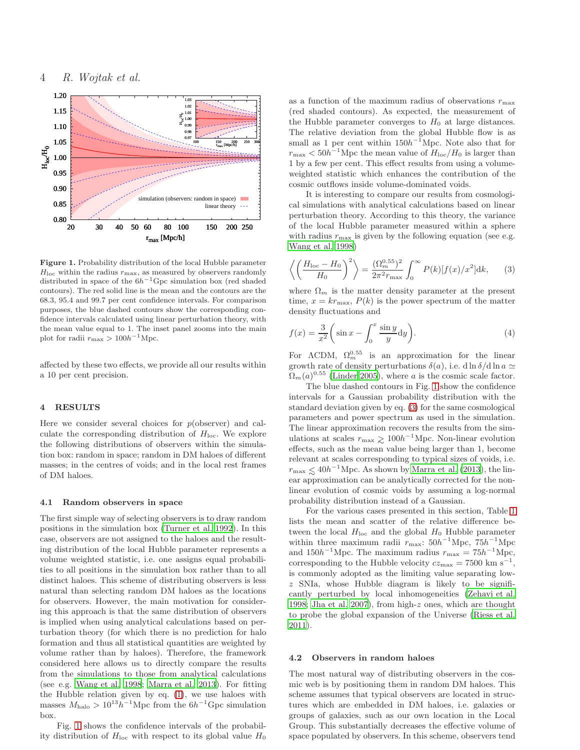

<span id="page-3-0"></span>Figure 1. Probability distribution of the local Hubble parameter  $H_{\text{loc}}$  within the radius  $r_{\text{max}}$ , as measured by observers randomly distributed in space of the  $6h^{-1}$ Gpc simulation box (red shaded contours). The red solid line is the mean and the contours are the 68.3, 95.4 and 99.7 per cent confidence intervals. For comparison purposes, the blue dashed contours show the corresponding confidence intervals calculated using linear perturbation theory, with the mean value equal to 1. The inset panel zooms into the main plot for radii  $r_{\text{max}} > 100h^{-1}\text{Mpc}$ .

affected by these two effects, we provide all our results within a 10 per cent precision.

## 4 RESULTS

Here we consider several choices for  $p(\text{observer})$  and calculate the corresponding distribution of  $H<sub>loc</sub>$ . We explore the following distributions of observers within the simulation box: random in space; random in DM haloes of different masses; in the centres of voids; and in the local rest frames of DM haloes.

## 4.1 Random observers in space

The first simple way of selecting observers is to draw random positions in the simulation box [\(Turner et al. 1992\)](#page-8-22). In this case, observers are not assigned to the haloes and the resulting distribution of the local Hubble parameter represents a volume weighted statistic, i.e. one assigns equal probabilities to all positions in the simulation box rather than to all distinct haloes. This scheme of distributing observers is less natural than selecting random DM haloes as the locations for observers. However, the main motivation for considering this approach is that the same distribution of observers is implied when using analytical calculations based on perturbation theory (for which there is no prediction for halo formation and thus all statistical quantities are weighted by volume rather than by haloes). Therefore, the framework considered here allows us to directly compare the results from the simulations to those from analytical calculations (see e.g. [Wang et al. 1998;](#page-8-17) [Marra et al. 2013](#page-8-8)). For fitting the Hubble relation given by eq. [\(1\)](#page-2-0), we use haloes with masses  $M_{\text{halo}} > 10^{13} h^{-1} \text{Mpc}$  from the  $6h^{-1} \text{Gpc}$  simulation box.

Fig. [1](#page-3-0) shows the confidence intervals of the probability distribution of  $H_{\text{loc}}$  with respect to its global value  $H_0$  as a function of the maximum radius of observations  $r_{\text{max}}$ (red shaded contours). As expected, the measurement of the Hubble parameter converges to  $H_0$  at large distances. The relative deviation from the global Hubble flow is as small as 1 per cent within  $150h^{-1}\text{Mpc}$ . Note also that for  $r_{\text{max}} < 50h^{-1}\text{Mpc}$  the mean value of  $H_{\text{loc}}/H_0$  is larger than 1 by a few per cent. This effect results from using a volumeweighted statistic which enhances the contribution of the cosmic outflows inside volume-dominated voids.

It is interesting to compare our results from cosmological simulations with analytical calculations based on linear perturbation theory. According to this theory, the variance of the local Hubble parameter measured within a sphere with radius  $r_{\text{max}}$  is given by the following equation (see e.g. [Wang et al. 1998](#page-8-17))

<span id="page-3-1"></span>
$$
\left\langle \left(\frac{H_{\text{loc}} - H_0}{H_0}\right)^2 \right\rangle = \frac{(\Omega_m^{0.55})^2}{2\pi^2 r_{\text{max}}} \int_0^\infty P(k) [f(x)/x^2] \, \mathrm{d}k,\qquad(3)
$$

where  $\Omega_m$  is the matter density parameter at the present time,  $x = kr_{\text{max}}$ ,  $P(k)$  is the power spectrum of the matter density fluctuations and

$$
f(x) = \frac{3}{x^2} \left( \sin x - \int_0^x \frac{\sin y}{y} dy \right).
$$
 (4)

For  $\Lambda$ CDM,  $\Omega_m^{0.55}$  is an approximation for the linear growth rate of density perturbations  $\delta(a)$ , i.e. d ln  $\delta/d \ln a \simeq$  $\Omega_m(a)^{0.55}$  [\(Linder 2005\)](#page-8-32), where a is the cosmic scale factor.

The blue dashed contours in Fig. [1](#page-3-0) show the confidence intervals for a Gaussian probability distribution with the standard deviation given by eq. [\(3\)](#page-3-1) for the same cosmological parameters and power spectrum as used in the simulation. The linear approximation recovers the results from the simulations at scales  $r_{\text{max}} \geq 100h^{-1}\text{Mpc}$ . Non-linear evolution effects, such as the mean value being larger than 1, become relevant at scales corresponding to typical sizes of voids, i.e.  $r_{\text{max}} \lesssim 40h^{-1}\text{Mpc}$ . As shown by [Marra et al. \(2013](#page-8-8)), the linear approximation can be analytically corrected for the nonlinear evolution of cosmic voids by assuming a log-normal probability distribution instead of a Gaussian.

For the various cases presented in this section, Table [1](#page-4-0) lists the mean and scatter of the relative difference between the local  $H_{\text{loc}}$  and the global  $H_0$  Hubble parameter within three maximum radii  $r_{\text{max}}$ : 50h<sup>-1</sup>Mpc, 75h<sup>-1</sup>Mpc and  $150h^{-1}\text{Mpc}$ . The maximum radius  $r_{\text{max}} = 75h^{-1}\text{Mpc}$ , corresponding to the Hubble velocity  $cz_{\text{max}} = 7500 \text{ km s}^{-1}$ , is commonly adopted as the limiting value separating lowz SNIa, whose Hubble diagram is likely to be significantly perturbed by local inhomogeneities [\(Zehavi et al.](#page-8-10) [1998](#page-8-10); [Jha et al. 2007\)](#page-8-9), from high-z ones, which are thought to probe the global expansion of the Universe [\(Riess et al.](#page-8-1) [2011](#page-8-1)).

#### 4.2 Observers in random haloes

The most natural way of distributing observers in the cosmic web is by positioning them in random DM haloes. This scheme assumes that typical observers are located in structures which are embedded in DM haloes, i.e. galaxies or groups of galaxies, such as our own location in the Local Group. This substantially decreases the effective volume of space populated by observers. In this scheme, observers tend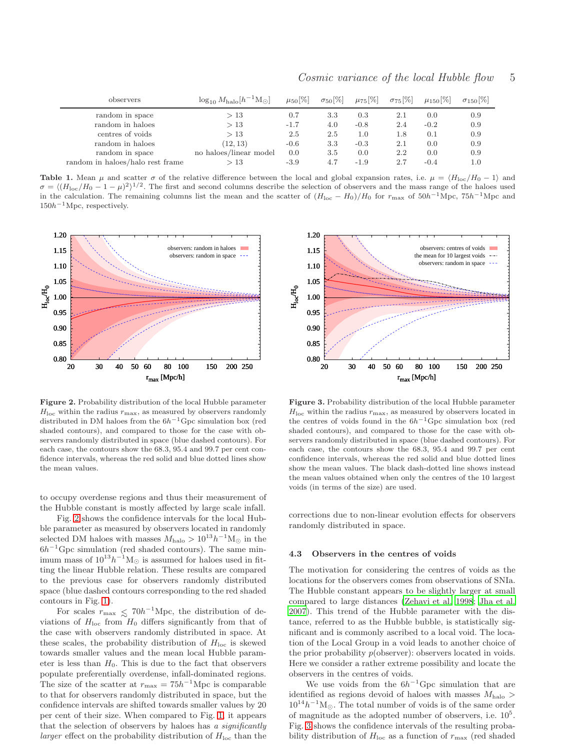| observers                        | $\log_{10} M_{\text{halo}} [h^{-1} M_{\odot}]$ | $\mu_{50}$ [%] | $\sigma_{50}[\%]$ | $\mu_{75}[\%]$ | $\sigma_{75}[\%]$ | $\mu_{150}$  % | $\sigma_{150}$  % |
|----------------------------------|------------------------------------------------|----------------|-------------------|----------------|-------------------|----------------|-------------------|
| random in space                  | >13                                            | 0.7            | 3.3               | 0.3            | $2.1\,$           | 0.0            | 0.9               |
| random in haloes                 | >13                                            | $-1.7$         | 4.0               | $-0.8$         | 2.4               | $-0.2$         | 0.9               |
| centres of voids                 | >13                                            | 2.5            | 2.5               | 1.0            | 1.8               | 0.1            | 0.9               |
| random in haloes                 | (12, 13)                                       | $-0.6$         | 3.3               | $-0.3$         | $2.1\,$           | 0.0            | 0.9               |
| random in space                  | no haloes/linear model                         | 0.0            | 3.5               | 0.0            | 2.2               | 0.0            | 0.9               |
| random in haloes/halo rest frame | >13                                            | $-3.9$         | 4.7               | $-1.9$         | 2.7               | $-0.4$         | 1.0               |

Cosmic variance of the local Hubble flow 5

<span id="page-4-0"></span>**Table 1.** Mean  $\mu$  and scatter  $\sigma$  of the relative difference between the local and global expansion rates, i.e.  $\mu = \langle H_{\text{loc}}/H_0 - 1 \rangle$  and  $\sigma = \langle (H_{\text{loc}}/H_0 - 1 - \mu)^2 \rangle^{1/2}$ . The first and second columns describe the selection of observers and the mass range of the haloes used in the calculation. The remaining columns list the mean and the scatter of  $(H_{\text{loc}} - H_0)/H_0$  for  $r_{\text{max}}$  of  $50h^{-1}\text{Mpc}$ ,  $75h^{-1}\text{Mpc}$  and  $150h^{-1}\text{Mpc}$ , respectively.



<span id="page-4-1"></span>Figure 2. Probability distribution of the local Hubble parameter  $H_{\text{loc}}$  within the radius  $r_{\text{max}}$ , as measured by observers randomly distributed in DM haloes from the  $6h^{-1}$ Gpc simulation box (red shaded contours), and compared to those for the case with observers randomly distributed in space (blue dashed contours). For each case, the contours show the 68.3, 95.4 and 99.7 per cent confidence intervals, whereas the red solid and blue dotted lines show the mean values.

to occupy overdense regions and thus their measurement of the Hubble constant is mostly affected by large scale infall.

Fig. [2](#page-4-1) shows the confidence intervals for the local Hubble parameter as measured by observers located in randomly selected DM haloes with masses  $M_{\text{halo}} > 10^{13} h^{-1} M_{\odot}$  in the  $6h^{-1}$ Gpc simulation (red shaded contours). The same minimum mass of  $10^{13}h^{-1}M_{\odot}$  is assumed for haloes used in fitting the linear Hubble relation. These results are compared to the previous case for observers randomly distributed space (blue dashed contours corresponding to the red shaded contours in Fig. [1\)](#page-3-0).

For scales  $r_{\text{max}} \lesssim 70h^{-1}\text{Mpc}$ , the distribution of deviations of  $H_{\text{loc}}$  from  $H_0$  differs significantly from that of the case with observers randomly distributed in space. At these scales, the probability distribution of  $H<sub>loc</sub>$  is skewed towards smaller values and the mean local Hubble parameter is less than  $H_0$ . This is due to the fact that observers populate preferentially overdense, infall-dominated regions. The size of the scatter at  $r_{\text{max}} = 75h^{-1}\text{Mpc}$  is comparable to that for observers randomly distributed in space, but the confidence intervals are shifted towards smaller values by 20 per cent of their size. When compared to Fig. [1,](#page-3-0) it appears that the selection of observers by haloes has  $a$  significantly *larger* effect on the probability distribution of  $H_{\text{loc}}$  than the



<span id="page-4-2"></span>Figure 3. Probability distribution of the local Hubble parameter  $H_{\text{loc}}$  within the radius  $r_{\text{max}}$ , as measured by observers located in the centres of voids found in the  $6h^{-1}Gpc$  simulation box (red shaded contours), and compared to those for the case with observers randomly distributed in space (blue dashed contours). For each case, the contours show the 68.3, 95.4 and 99.7 per cent confidence intervals, whereas the red solid and blue dotted lines show the mean values. The black dash-dotted line shows instead the mean values obtained when only the centres of the 10 largest voids (in terms of the size) are used.

corrections due to non-linear evolution effects for observers randomly distributed in space.

#### 4.3 Observers in the centres of voids

The motivation for considering the centres of voids as the locations for the observers comes from observations of SNIa. The Hubble constant appears to be slightly larger at small compared to large distances [\(Zehavi et al. 1998;](#page-8-10) [Jha et al.](#page-8-9) [2007](#page-8-9)). This trend of the Hubble parameter with the distance, referred to as the Hubble bubble, is statistically significant and is commonly ascribed to a local void. The location of the Local Group in a void leads to another choice of the prior probability  $p(\text{observer})$ : observers located in voids. Here we consider a rather extreme possibility and locate the observers in the centres of voids.

We use voids from the  $6h^{-1}$ Gpc simulation that are identified as regions devoid of haloes with masses  $M_{halo}$  $10^{14}h^{-1}\text{M}_{\odot}$ . The total number of voids is of the same order of magnitude as the adopted number of observers, i.e.  $10^5$ . Fig. [3](#page-4-2) shows the confidence intervals of the resulting probability distribution of  $H_{\text{loc}}$  as a function of  $r_{\text{max}}$  (red shaded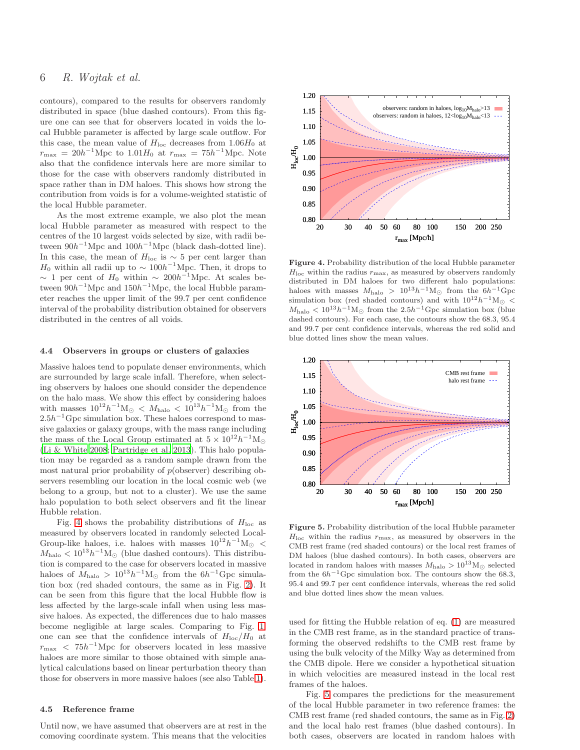# 6 R. Wojtak et al.

contours), compared to the results for observers randomly distributed in space (blue dashed contours). From this figure one can see that for observers located in voids the local Hubble parameter is affected by large scale outflow. For this case, the mean value of  $H_{\text{loc}}$  decreases from 1.06 $H_0$  at  $r_{\text{max}} = 20h^{-1}\text{Mpc}$  to  $1.01H_0$  at  $r_{\text{max}} = 75h^{-1}\text{Mpc}$ . Note also that the confidence intervals here are more similar to those for the case with observers randomly distributed in space rather than in DM haloes. This shows how strong the contribution from voids is for a volume-weighted statistic of the local Hubble parameter.

As the most extreme example, we also plot the mean local Hubble parameter as measured with respect to the centres of the 10 largest voids selected by size, with radii between  $90h^{-1}$ Mpc and  $100h^{-1}$ Mpc (black dash-dotted line). In this case, the mean of  $H_{\text{loc}}$  is  $\sim$  5 per cent larger than  $H_0$  within all radii up to  $\sim 100h^{-1}\text{Mpc}$ . Then, it drops to  $\sim$  1 per cent of  $H_0$  within  $\sim 200h^{-1}\text{Mpc}$ . At scales between  $90h^{-1}\text{Mpc}$  and  $150h^{-1}\text{Mpc}$ , the local Hubble parameter reaches the upper limit of the 99.7 per cent confidence interval of the probability distribution obtained for observers distributed in the centres of all voids.

#### 4.4 Observers in groups or clusters of galaxies

Massive haloes tend to populate denser environments, which are surrounded by large scale infall. Therefore, when selecting observers by haloes one should consider the dependence on the halo mass. We show this effect by considering haloes with masses  $10^{12}h^{-1}M_{\odot} \leq M_{\text{halo}} \leq 10^{13}h^{-1}M_{\odot}$  from the  $2.5h^{-1}$  Gpc simulation box. These haloes correspond to massive galaxies or galaxy groups, with the mass range including the mass of the Local Group estimated at  $5 \times 10^{12} h^{-1}$ M<sub>☉</sub> [\(Li & White 2008](#page-8-33); [Partridge et al. 2013](#page-8-34)). This halo population may be regarded as a random sample drawn from the most natural prior probability of  $p$ (observer) describing observers resembling our location in the local cosmic web (we belong to a group, but not to a cluster). We use the same halo population to both select observers and fit the linear Hubble relation.

Fig. [4](#page-5-0) shows the probability distributions of  $H_{\text{loc}}$  as measured by observers located in randomly selected Local-Group-like haloes, i.e. haloes with masses  $10^{12}h^{-1}M_{\odot}$  <  $M_{\text{halo}} < 10^{13} h^{-1} M_{\odot}$  (blue dashed contours). This distribution is compared to the case for observers located in massive haloes of  $M_{\text{halo}} > 10^{13} h^{-1} \text{M}_{\odot}$  from the  $6h^{-1}$ Gpc simulation box (red shaded contours, the same as in Fig. [2\)](#page-4-1). It can be seen from this figure that the local Hubble flow is less affected by the large-scale infall when using less massive haloes. As expected, the differences due to halo masses become negligible at large scales. Comparing to Fig. [1,](#page-3-0) one can see that the confidence intervals of  $H_{\text{loc}}/H_0$  at  $r_{\text{max}}$  <  $75h^{-1}\text{Mpc}$  for observers located in less massive haloes are more similar to those obtained with simple analytical calculations based on linear perturbation theory than those for observers in more massive haloes (see also Table [1\)](#page-4-0).

## 4.5 Reference frame

Until now, we have assumed that observers are at rest in the comoving coordinate system. This means that the velocities



<span id="page-5-0"></span>Figure 4. Probability distribution of the local Hubble parameter  $H_{\text{loc}}$  within the radius  $r_{\text{max}}$ , as measured by observers randomly distributed in DM haloes for two different halo populations: haloes with masses  $M_{\rm halo}$  >  $10^{13}h^{-1}\rm M_{\odot}$  from the  $6h^{-1}\rm Gpc$ simulation box (red shaded contours) and with  $10^{12}h^{-1}M_{\odot}$  <  $M_{\text{halo}} < 10^{13}h^{-1}\text{M}_{\odot}$  from the 2.5h<sup>-1</sup>Gpc simulation box (blue dashed contours). For each case, the contours show the 68.3, 95.4 and 99.7 per cent confidence intervals, whereas the red solid and blue dotted lines show the mean values.



<span id="page-5-1"></span>Figure 5. Probability distribution of the local Hubble parameter  $H_{\text{loc}}$  within the radius  $r_{\text{max}}$ , as measured by observers in the CMB rest frame (red shaded contours) or the local rest frames of DM haloes (blue dashed contours). In both cases, observers are located in random haloes with masses  $M_{\text{halo}} > 10^{13} M_{\odot}$  selected from the  $6h^{-1}$ Gpc simulation box. The contours show the 68.3, 95.4 and 99.7 per cent confidence intervals, whereas the red solid and blue dotted lines show the mean values.

used for fitting the Hubble relation of eq. [\(1\)](#page-2-0) are measured in the CMB rest frame, as in the standard practice of transforming the observed redshifts to the CMB rest frame by using the bulk velocity of the Milky Way as determined from the CMB dipole. Here we consider a hypothetical situation in which velocities are measured instead in the local rest frames of the haloes.

Fig. [5](#page-5-1) compares the predictions for the measurement of the local Hubble parameter in two reference frames: the CMB rest frame (red shaded contours, the same as in Fig. [2\)](#page-4-1) and the local halo rest frames (blue dashed contours). In both cases, observers are located in random haloes with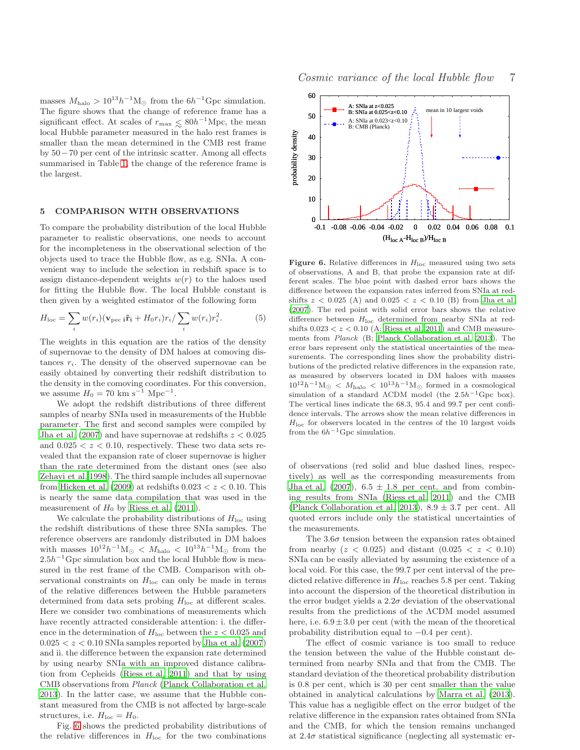masses  $M_{\text{halo}} > 10^{13} h^{-1} \text{M}_{\odot}$  from the  $6h^{-1} \text{Gpc}$  simulation. The figure shows that the change of reference frame has a significant effect. At scales of  $r_{\text{max}} \leq 80h^{-1}\text{Mpc}$ , the mean local Hubble parameter measured in the halo rest frames is smaller than the mean determined in the CMB rest frame by 50−70 per cent of the intrinsic scatter. Among all effects summarised in Table [1,](#page-4-0) the change of the reference frame is the largest.

## 5 COMPARISON WITH OBSERVATIONS

To compare the probability distribution of the local Hubble parameter to realistic observations, one needs to account for the incompleteness in the observational selection of the objects used to trace the Hubble flow, as e.g. SNIa. A convenient way to include the selection in redshift space is to assign distance-dependent weights  $w(r)$  to the haloes used for fitting the Hubble flow. The local Hubble constant is then given by a weighted estimator of the following form

$$
H_{\text{loc}} = \sum_{i} w(r_i) (\mathbf{v}_{\text{pec}} \, \mathbf{i} \, \mathbf{\hat{r}}_{\mathbf{i}} + H_0 r_i) r_i / \sum_{i} w(r_i) r_i^2. \tag{5}
$$

The weights in this equation are the ratios of the density of supernovae to the density of DM haloes at comoving distances  $r_i$ . The density of the observed supernovae can be easily obtained by converting their redshift distribution to the density in the comoving coordinates. For this conversion, we assume  $H_0 = 70 \text{ km s}^{-1} \text{ Mpc}^{-1}$ .

We adopt the redshift distributions of three different samples of nearby SNIa used in measurements of the Hubble parameter. The first and second samples were compiled by Jha et al.  $(2007)$  and have supernovae at redshifts  $z < 0.025$ and  $0.025 < z < 0.10$ , respectively. These two data sets revealed that the expansion rate of closer supernovae is higher than the rate determined from the distant ones (see also [Zehavi et al. 1998\)](#page-8-10). The third sample includes all supernovae from Hicken et al.  $(2009)$  at redshifts  $0.023 < z < 0.10$ . This is nearly the same data compilation that was used in the measurement of  $H_0$  by [Riess et al. \(2011\)](#page-8-1).

We calculate the probability distributions of  $H_{\text{loc}}$  using the redshift distributions of these three SNIa samples. The reference observers are randomly distributed in DM haloes with masses  $10^{12}h^{-1}M_{\odot} \leq M_{\text{halo}} \leq 10^{13}h^{-1}M_{\odot}$  from the  $2.5h^{-1}$  Gpc simulation box and the local Hubble flow is measured in the rest frame of the CMB. Comparison with observational constraints on  $H<sub>loc</sub>$  can only be made in terms of the relative differences between the Hubble parameters determined from data sets probing  $H_{\text{loc}}$  at different scales. Here we consider two combinations of measurements which have recently attracted considerable attention: i. the difference in the determination of  $H_{loc}$  between the  $z < 0.025$  and  $0.025 < z < 0.10$  SNIa samples reported by [Jha et al. \(2007](#page-8-9)) and ii. the difference between the expansion rate determined by using nearby SNIa with an improved distance calibration from Cepheids [\(Riess et al. 2011](#page-8-1)) and that by using CMB observations from Planck [\(Planck Collaboration et al.](#page-8-6) [2013](#page-8-6)). In the latter case, we assume that the Hubble constant measured from the CMB is not affected by large-scale structures, i.e.  $H_{loc} = H_0$ .

Fig. [6](#page-6-0) shows the predicted probability distributions of the relative differences in  $H_{\text{loc}}$  for the two combinations



<span id="page-6-0"></span>Figure 6. Relative differences in  $H_{\text{loc}}$  measured using two sets of observations, A and B, that probe the expansion rate at different scales. The blue point with dashed error bars shows the difference between the expansion rates inferred from SNIa at redshifts  $z < 0.025$  (A) and  $0.025 < z < 0.10$  (B) from [Jha et al.](#page-8-9) [\(2007](#page-8-9)). The red point with solid error bars shows the relative difference between  $H_{loc}$  determined from nearby SNIa at redshifts  $0.023 < z < 0.10$  (A; [Riess et al. 2011](#page-8-1)) and CMB measurements from Planck (B; [Planck Collaboration et al. 2013\)](#page-8-6). The error bars represent only the statistical uncertainties of the measurements. The corresponding lines show the probability distributions of the predicted relative differences in the expansion rate, as measured by observers located in DM haloes with masses  $10^{12}h^{-1}\mathrm{M}_{\odot}~<~M_{\rm halo}~<~10^{13}h^{-1}\mathrm{M}_{\odot}~$  formed in a cosmological simulation of a standard  $\Lambda$ CDM model (the 2.5h<sup>-1</sup>Gpc box). The vertical lines indicate the 68.3, 95.4 and 99.7 per cent confidence intervals. The arrows show the mean relative differences in  $H<sub>loc</sub>$  for observers located in the centres of the 10 largest voids from the  $6h^{-1}$ Gpc simulation.

of observations (red solid and blue dashed lines, respectively) as well as the corresponding measurements from [Jha et al. \(2007](#page-8-9)),  $6.5 \pm 1.8$  per cent, and from combining results from SNIa [\(Riess et al. 2011](#page-8-1)) and the CMB [\(Planck Collaboration et al. 2013](#page-8-6)),  $8.9 \pm 3.7$  per cent. All quoted errors include only the statistical uncertainties of the measurements.

The  $3.6\sigma$  tension between the expansion rates obtained from nearby  $(z < 0.025)$  and distant  $(0.025 < z < 0.10)$ SNIa can be easily alleviated by assuming the existence of a local void. For this case, the 99.7 per cent interval of the predicted relative difference in  $H_{\text{loc}}$  reaches 5.8 per cent. Taking into account the dispersion of the theoretical distribution in the error budget yields a  $2.2\sigma$  deviation of the observational results from the predictions of the ΛCDM model assumed here, i.e.  $6.9 \pm 3.0$  per cent (with the mean of the theoretical probability distribution equal to −0.4 per cent).

The effect of cosmic variance is too small to reduce the tension between the value of the Hubble constant determined from nearby SNIa and that from the CMB. The standard deviation of the theoretical probability distribution is 0.8 per cent, which is 30 per cent smaller than the value obtained in analytical calculations by [Marra et al. \(2013](#page-8-8)). This value has a negligible effect on the error budget of the relative difference in the expansion rates obtained from SNIa and the CMB, for which the tension remains unchanged at  $2.4\sigma$  statistical significance (neglecting all systematic er-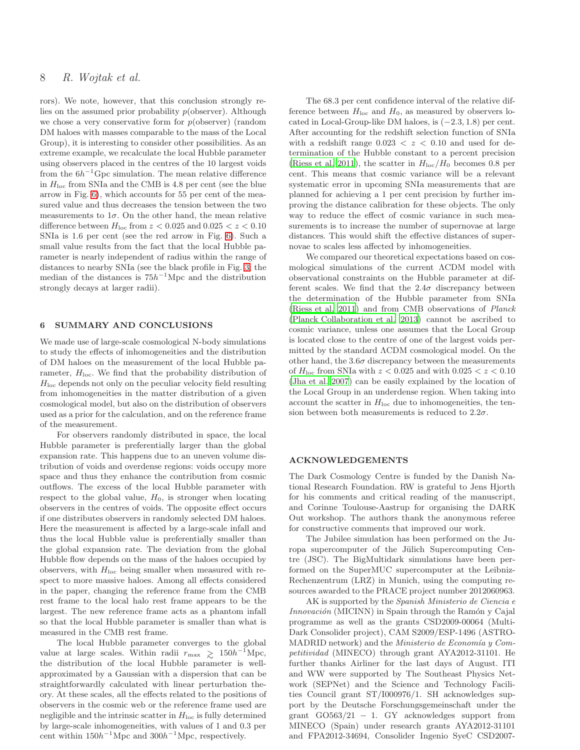# 8 R. Wojtak et al.

rors). We note, however, that this conclusion strongly relies on the assumed prior probability  $p(\text{observer})$ . Although we chose a very conservative form for  $p(\text{observer})$  (random DM haloes with masses comparable to the mass of the Local Group), it is interesting to consider other possibilities. As an extreme example, we recalculate the local Hubble parameter using observers placed in the centres of the 10 largest voids from the  $6h^{-1}$ Gpc simulation. The mean relative difference in  $H_{\text{loc}}$  from SNIa and the CMB is 4.8 per cent (see the blue arrow in Fig. [6\)](#page-6-0), which accounts for 55 per cent of the measured value and thus decreases the tension between the two measurements to  $1\sigma$ . On the other hand, the mean relative difference between  $H_{\text{loc}}$  from  $z < 0.025$  and  $0.025 < z < 0.10$ SNIa is 1.6 per cent (see the red arrow in Fig. [6\)](#page-6-0). Such a small value results from the fact that the local Hubble parameter is nearly independent of radius within the range of distances to nearby SNIa (see the black profile in Fig. [3;](#page-4-2) the median of the distances is  $75h^{-1}\text{Mpc}$  and the distribution strongly decays at larger radii).

## 6 SUMMARY AND CONCLUSIONS

We made use of large-scale cosmological N-body simulations to study the effects of inhomogeneities and the distribution of DM haloes on the measurement of the local Hubble parameter,  $H_{loc}$ . We find that the probability distribution of  $H<sub>loc</sub>$  depends not only on the peculiar velocity field resulting from inhomogeneities in the matter distribution of a given cosmological model, but also on the distribution of observers used as a prior for the calculation, and on the reference frame of the measurement.

For observers randomly distributed in space, the local Hubble parameter is preferentially larger than the global expansion rate. This happens due to an uneven volume distribution of voids and overdense regions: voids occupy more space and thus they enhance the contribution from cosmic outflows. The excess of the local Hubble parameter with respect to the global value,  $H_0$ , is stronger when locating observers in the centres of voids. The opposite effect occurs if one distributes observers in randomly selected DM haloes. Here the measurement is affected by a large-scale infall and thus the local Hubble value is preferentially smaller than the global expansion rate. The deviation from the global Hubble flow depends on the mass of the haloes occupied by observers, with  $H_{\text{loc}}$  being smaller when measured with respect to more massive haloes. Among all effects considered in the paper, changing the reference frame from the CMB rest frame to the local halo rest frame appears to be the largest. The new reference frame acts as a phantom infall so that the local Hubble parameter is smaller than what is measured in the CMB rest frame.

The local Hubble parameter converges to the global value at large scales. Within radii  $r_{\text{max}} \geq 150h^{-1}\text{Mpc}$ the distribution of the local Hubble parameter is wellapproximated by a Gaussian with a dispersion that can be straightforwardly calculated with linear perturbation theory. At these scales, all the effects related to the positions of observers in the cosmic web or the reference frame used are negligible and the intrinsic scatter in  $H<sub>loc</sub>$  is fully determined by large-scale inhomogeneities, with values of 1 and 0.3 per cent within  $150h^{-1}\text{Mpc}$  and  $300h^{-1}\text{Mpc}$ , respectively.

The 68.3 per cent confidence interval of the relative difference between  $H_{\text{loc}}$  and  $H_0$ , as measured by observers located in Local-Group-like DM haloes, is  $(-2.3, 1.8)$  per cent. After accounting for the redshift selection function of SNIa with a redshift range  $0.023 < z < 0.10$  and used for determination of the Hubble constant to a percent precision [\(Riess et al. 2011\)](#page-8-1), the scatter in  $H_{\text{loc}}/H_0$  becomes 0.8 per cent. This means that cosmic variance will be a relevant systematic error in upcoming SNIa measurements that are planned for achieving a 1 per cent precision by further improving the distance calibration for these objects. The only way to reduce the effect of cosmic variance in such measurements is to increase the number of supernovae at large distances. This would shift the effective distances of supernovae to scales less affected by inhomogeneities.

We compared our theoretical expectations based on cosmological simulations of the current ΛCDM model with observational constraints on the Hubble parameter at different scales. We find that the  $2.4\sigma$  discrepancy between the determination of the Hubble parameter from SNIa [\(Riess et al. 2011](#page-8-1)) and from CMB observations of Planck [\(Planck Collaboration et al. 2013](#page-8-6)) cannot be ascribed to cosmic variance, unless one assumes that the Local Group is located close to the centre of one of the largest voids permitted by the standard ΛCDM cosmological model. On the other hand, the  $3.6\sigma$  discrepancy between the measurements of  $H_{\text{loc}}$  from SNIa with  $z < 0.025$  and with  $0.025 < z < 0.10$ [\(Jha et al. 2007](#page-8-9)) can be easily explained by the location of the Local Group in an underdense region. When taking into account the scatter in  $H<sub>loc</sub>$  due to inhomogeneities, the tension between both measurements is reduced to  $2.2\sigma$ .

## ACKNOWLEDGEMENTS

The Dark Cosmology Centre is funded by the Danish National Research Foundation. RW is grateful to Jens Hjorth for his comments and critical reading of the manuscript, and Corinne Toulouse-Aastrup for organising the DARK Out workshop. The authors thank the anonymous referee for constructive comments that improved our work.

The Jubilee simulation has been performed on the Juropa supercomputer of the Jülich Supercomputing Centre (JSC). The BigMultidark simulations have been performed on the SuperMUC supercomputer at the Leibniz-Rechenzentrum (LRZ) in Munich, using the computing resources awarded to the PRACE project number 2012060963.

AK is supported by the Spanish Ministerio de Ciencia e Innovación (MICINN) in Spain through the Ramón y Cajal programme as well as the grants CSD2009-00064 (Multi-Dark Consolider project), CAM S2009/ESP-1496 (ASTRO-MADRID network) and the *Ministerio de Economía* y Competitividad (MINECO) through grant AYA2012-31101. He further thanks Airliner for the last days of August. ITI and WW were supported by The Southeast Physics Network (SEPNet) and the Science and Technology Facilities Council grant ST/I000976/1. SH acknowledges support by the Deutsche Forschungsgemeinschaft under the grant  $GO563/21 - 1$ . GY acknowledges support from MINECO (Spain) under research grants AYA2012-31101 and FPA2012-34694, Consolider Ingenio SyeC CSD2007